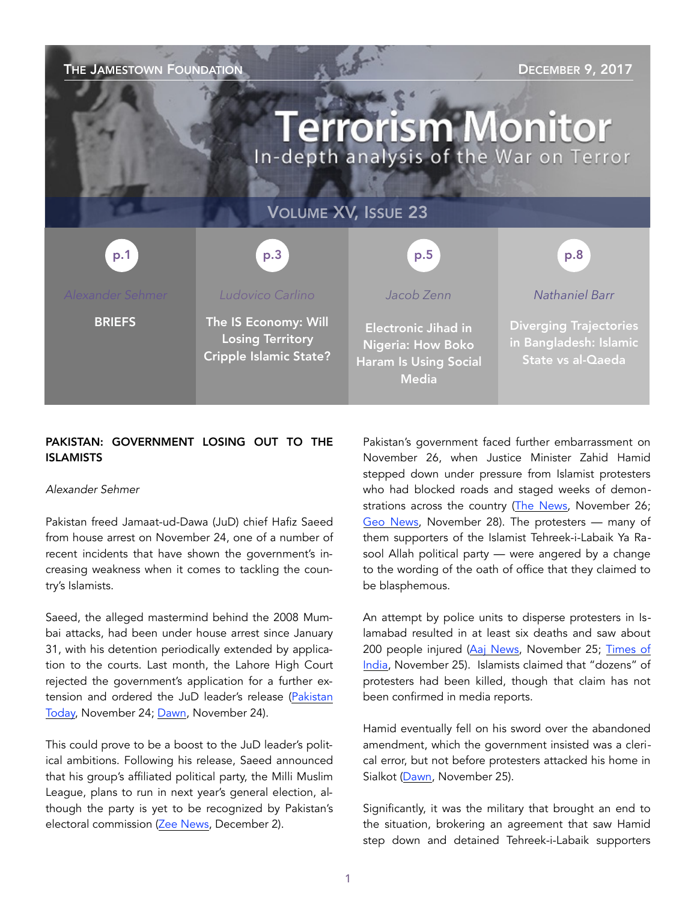| THE JAMESTOWN FOUNDATION<br><b>DECEMBER 9, 2017</b><br><b>Terrorism Monitor</b><br>In-depth analysis of the War on Terror |                                                                                  |                                                                                                        |                                                                              |
|---------------------------------------------------------------------------------------------------------------------------|----------------------------------------------------------------------------------|--------------------------------------------------------------------------------------------------------|------------------------------------------------------------------------------|
| <b>VOLUME XV, ISSUE 23</b>                                                                                                |                                                                                  |                                                                                                        |                                                                              |
| p.1                                                                                                                       | p.3                                                                              | p.5                                                                                                    | p.8                                                                          |
| Alexander Sehmer                                                                                                          | Ludovico Carlino                                                                 | Jacob Zenn                                                                                             | Nathaniel Barr                                                               |
| <b>BRIEFS</b>                                                                                                             | The IS Economy: Will<br><b>Losing Territory</b><br><b>Cripple Islamic State?</b> | <b>Electronic Jihad in</b><br><b>Nigeria: How Boko</b><br><b>Haram Is Using Social</b><br><b>Media</b> | <b>Diverging Trajectories</b><br>in Bangladesh: Islamic<br>State vs al-Qaeda |

## PAKISTAN: GOVERNMENT LOSING OUT TO THE ISLAMISTS

#### *Alexander Sehmer*

Pakistan freed Jamaat-ud-Dawa (JuD) chief Hafiz Saeed from house arrest on November 24, one of a number of recent incidents that have shown the government's increasing weakness when it comes to tackling the country's Islamists.

Saeed, the alleged mastermind behind the 2008 Mumbai attacks, had been under house arrest since January 31, with his detention periodically extended by application to the courts. Last month, the Lahore High Court rejected the government's application for a further extension and ordered the JuD leader's release [\(Pakistan](https://www.pakistantoday.com.pk/2017/11/24/jud-chief-hafiz-saeed-released-from-house-arrest/)  [Today,](https://www.pakistantoday.com.pk/2017/11/24/jud-chief-hafiz-saeed-released-from-house-arrest/) November 24; [Dawn,](https://www.dawn.com/news/1372530) November 24).

This could prove to be a boost to the JuD leader's political ambitions. Following his release, Saeed announced that his group's affiliated political party, the Milli Muslim League, plans to run in next year's general election, although the party is yet to be recognized by Pakistan's electoral commission [\(Zee News,](http://zeenews.india.com/world/hafiz-saeed-to-contest-pakistan-general-elections-next-year-2062511.html) December 2).

Pakistan's government faced further embarrassment on November 26, when Justice Minister Zahid Hamid stepped down under pressure from Islamist protesters who had blocked roads and staged weeks of demonstrations across the country ([The News,](https://www.thenews.com.pk/latest/249102-law-minister-zahid-hamid-releases-video-message-to-offer-explantion) November 26; [Geo News,](https://www.geo.tv/latest/169495-law-minister-zahid-hamid-submits-resignation-to-pm-abbasi) November 28). The protesters — many of them supporters of the Islamist Tehreek-i-Labaik Ya Rasool Allah political party — were angered by a change to the wording of the oath of office that they claimed to be blasphemous.

An attempt by police units to disperse protesters in Islamabad resulted in at least six deaths and saw about 200 people injured ([Aaj News](http://aaj.tv/2017/11/authorities-launches-operation-to-end-faizabad-siege/), November 25; Times of [India,](https://timesofindia.indiatimes.com/world/pakistan/pakistan-police-fire-rubber-bullets-to-disperse-islamist-sit-in/articleshow/61791397.cms) November 25). Islamists claimed that "dozens" of protesters had been killed, though that claim has not been confirmed in media reports.

Hamid eventually fell on his sword over the abandoned amendment, which the government insisted was a clerical error, but not before protesters attacked his home in Sialkot ([Dawn,](https://www.dawn.com/news/1372814) November 25).

Significantly, it was the military that brought an end to the situation, brokering an agreement that saw Hamid step down and detained Tehreek-i-Labaik supporters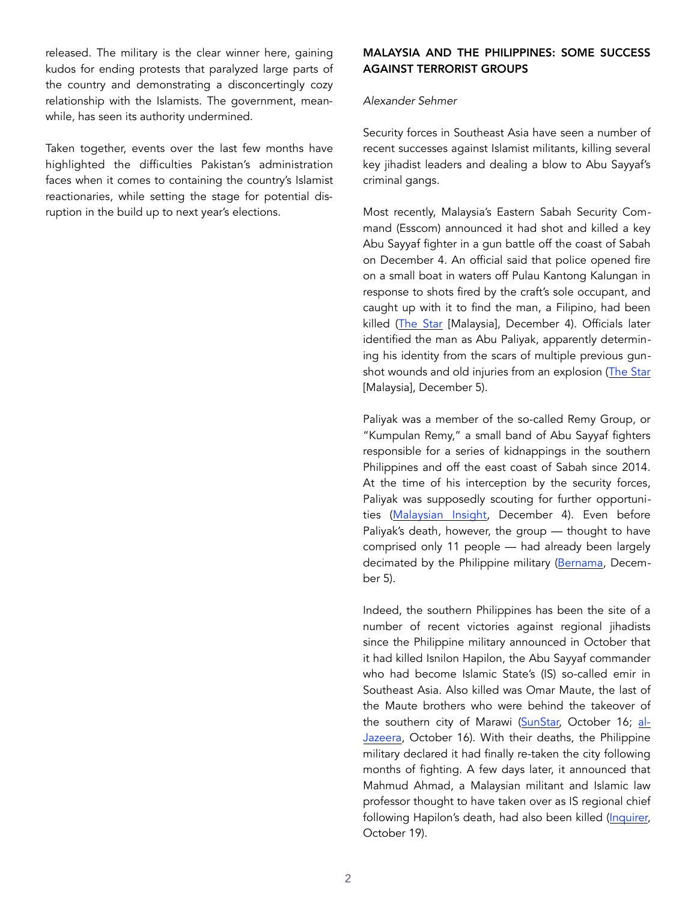released. The military is the clear winner here, gaining kudos for ending protests that paralyzed large parts of the country and demonstrating a disconcertingly cozy relationship with the Islamists. The government, meanwhile, has seen its authority undermined.

Taken together, events over the last few months have highlighted the difficulties Pakistan's administration faces when it comes to containing the country's Islamist reactionaries, while setting the stage for potential disruption in the build up to next year's elections.

#### MALAYSIA AND THE PHILIPPINES: SOME SUCCESS AGAINST TERRORIST GROUPS

#### *Alexander Sehmer*

Security forces in Southeast Asia have seen a number of recent successes against Islamist militants, killing several key jihadist leaders and dealing a blow to Abu Sayyaf's criminal gangs.

Most recently, Malaysia's Eastern Sabah Security Command (Esscom) announced it had shot and killed a key Abu Sayyaf fighter in a gun battle off the coast of Sabah on December 4. An official said that police opened fire on a small boat in waters off Pulau Kantong Kalungan in response to shots fired by the craft's sole occupant, and caught up with it to find the man, a Filipino, had been killed ([The Star](https://www.thestar.com.my/news/nation/2017/12/04/key-abu-sayyaf-member-killed-in-shootout-near-lahad-datu/) [Malaysia], December 4). Officials later identified the man as Abu Paliyak, apparently determining his identity from the scars of multiple previous gun-shot wounds and old injuries from an explosion ([The Star](https://www.thestar.com.my/news/nation/2017/12/05/key-abu-sayyaf-man-killed-police-terrorist-shot-dead-during-shootout-with-security-forces/) [Malaysia], December 5).

Paliyak was a member of the so-called Remy Group, or "Kumpulan Remy," a small band of Abu Sayyaf fighters responsible for a series of kidnappings in the southern Philippines and off the east coast of Sabah since 2014. At the time of his interception by the security forces, Paliyak was supposedly scouting for further opportunities [\(Malaysian Insight,](http://www.themalaysianinsight.com/bahasa/s/25943/) December 4). Even before Paliyak's death, however, the group — thought to have comprised only 11 people — had already been largely decimated by the Philippine military [\(Bernama,](http://www.bernama.com/bernama/v8/ge/newsgeneral.php?id=1416872) December 5).

Indeed, the southern Philippines has been the site of a number of recent victories against regional jihadists since the Philippine military announced in October that it had killed Isnilon Hapilon, the Abu Sayyaf commander who had become Islamic State's (IS) so-called emir in Southeast Asia. Also killed was Omar Maute, the last of the Maute brothers who were behind the takeover of the southern city of Marawi ([SunStar,](http://www.sunstar.com.ph/manila/local-news/2017/10/16/isnilon-hapilon-omar-maute-killed-marawi-569626) October 16; [al-](http://www.aljazeera.com/news/2017/10/marawi-siege-army-kills-abu-sayyaf-maute-commanders-171016072551985.html)[Jazeera,](http://www.aljazeera.com/news/2017/10/marawi-siege-army-kills-abu-sayyaf-maute-commanders-171016072551985.html) October 16). With their deaths, the Philippine military declared it had finally re-taken the city following months of fighting. A few days later, it announced that Mahmud Ahmad, a Malaysian militant and Islamic law professor thought to have taken over as IS regional chief following Hapilon's death, had also been killed ([Inquirer,](http://newsinfo.inquirer.net/939310/breaking-dr-mahmud-ahmad-marawi-islamic-state-president-duterte) October 19).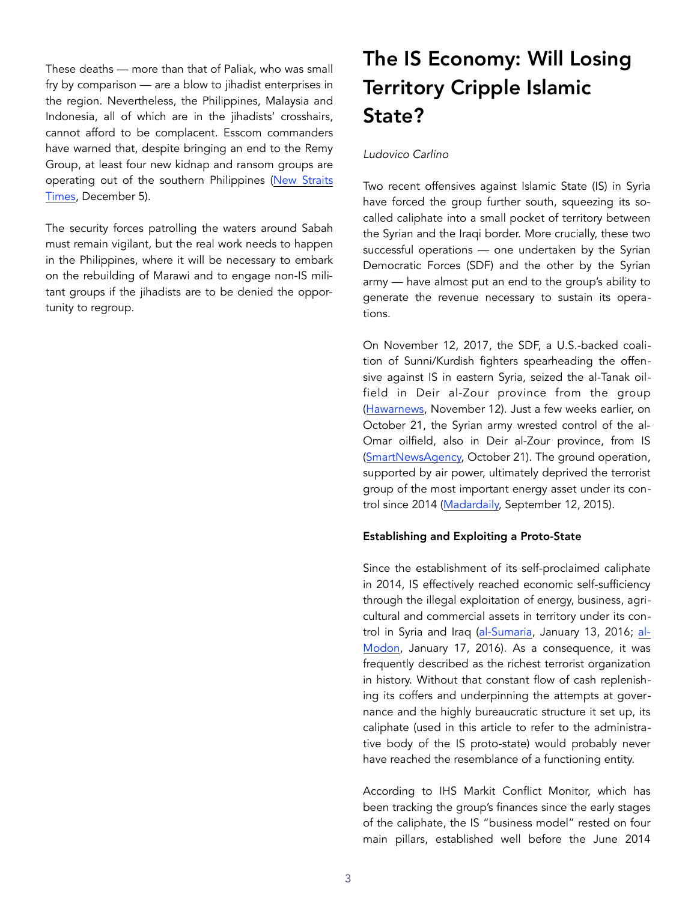These deaths — more than that of Paliak, who was small fry by comparison — are a blow to jihadist enterprises in the region. Nevertheless, the Philippines, Malaysia and Indonesia, all of which are in the jihadists' crosshairs, cannot afford to be complacent. Esscom commanders have warned that, despite bringing an end to the Remy Group, at least four new kidnap and ransom groups are operating out of the southern Philippines [\(New Straits](https://www.nst.com.my/news/crime-courts/2017/12/310961/new-kidnap-ransom-group-trying-sneak-sabah-detected)  [Times](https://www.nst.com.my/news/crime-courts/2017/12/310961/new-kidnap-ransom-group-trying-sneak-sabah-detected), December 5).

The security forces patrolling the waters around Sabah must remain vigilant, but the real work needs to happen in the Philippines, where it will be necessary to embark on the rebuilding of Marawi and to engage non-IS militant groups if the jihadists are to be denied the opportunity to regroup.

# The IS Economy: Will Losing Territory Cripple Islamic State?

## *Ludovico Carlino*

Two recent offensives against Islamic State (IS) in Syria have forced the group further south, squeezing its socalled caliphate into a small pocket of territory between the Syrian and the Iraqi border. More crucially, these two successful operations — one undertaken by the Syrian Democratic Forces (SDF) and the other by the Syrian army — have almost put an end to the group's ability to generate the revenue necessary to sustain its operations.

On November 12, 2017, the SDF, a U.S.-backed coalition of Sunni/Kurdish fighters spearheading the offensive against IS in eastern Syria, seized the al-Tanak oilfield in Deir al-Zour province from the group ([Hawarnews,](http://www.hawarnews.com/%D8%B9%D8%A7%D8%B5%D9%81%D8%A9-%D8%A7%D9%84%D8%AC%D8%B2%D9%8A%D8%B1%D8%A9-%D8%AA%D8%AD%D8%B1%D8%B1-%D8%AD%D9%82%D9%84-%D8%A7%D9%84%D8%AA%D9%86%D9%83-%D8%A7%D9%84%D9%86%D9%81%D8%B7%D9%8A-%D9%88%D9%82/) November 12). Just a few weeks earlier, on October 21, the Syrian army wrested control of the al-Omar oilfield, also in Deir al-Zour province, from IS ([SmartNewsAgency,](https://smartnews-agency.com/ar/breakingNews/244594/%D9%82%D9%88%D8%A7%D8%AA-%D8%A7%D9%84%D9%86%D8%B8%D8%A7%D9%85-%D8%AA%D8%B3%D9%8A%D8%B7%D8%B1-%D8%B9%D9%84%D9%89-%D8%AD%D9%82%D9%84-%D8%A7%D9%84%D8%B9%D9%85%D8%B1-%D8%A7%D9%84%D9%86%D9%81%D8%B7%D9%8A-%D8%25B) October 21). The ground operation, supported by air power, ultimately deprived the terrorist group of the most important energy asset under its control since 2014 ([Madardaily,](http://madardaily.com/2015/09/15/%D9%86%D9%81%D8%B7-%D8%AF%D9%8A%D8%B1-%D8%A7%D9%84%D8%B2%D9%88%D8%B1-%D9%85%D9%86-%D8%A7%D9%84%D8%AB%D9%88%D8%B1%D8%A9-%D8%AD%D8%AA%D9%89-%D8%AA%D9%86%D8%B8%D9%8A%D9%85-%D8%AF%D8%A7%D8%B9%D8%B4-2/) September 12, 2015).

## Establishing and Exploiting a Proto-State

Since the establishment of its self-proclaimed caliphate in 2014, IS effectively reached economic self-sufficiency through the illegal exploitation of energy, business, agricultural and commercial assets in territory under its control in Syria and Iraq ([al-Sumaria,](http://www.alsumaria.tv/news/156818/%D8%A8%D8%B9%D8%AF-%D9%82%D8%B5%D9%81-%D8%A8%D9%8A%D8%AA-%D8%A7%D9%84%D9%85%D8%A7%D9%84-%D8%AF%D8%A7%D8%B9%D8%B4-%D9%8A%D9%81%D8%AA%D9%8A-%D8%A8%D8%AC%D9%85%D8%B9-%D8%A7%D9%84%D8%B6%D8%B1%D8%A7%D8%A6%D8%A8/ar) January 13, 2016; [al-](http://www.almodon.com/economy/2016/1/17/%D8%AF%D8%A7%D8%B9%D8%B4-%D9%8A%D8%AE%D9%81%D8%B6-%D8%B1%D9%88%D8%A7%D8%AA%D8%A8-%D9%85%D9%82%D8%A7%D8%AA%D9%84%D9%8A%D9%87-%D9%88%D9%8A%D8%AE%D8%B5%D8%AE%D8%B5-%D9%86%D9%81%D8%B7%D9%87)[Modon,](http://www.almodon.com/economy/2016/1/17/%D8%AF%D8%A7%D8%B9%D8%B4-%D9%8A%D8%AE%D9%81%D8%B6-%D8%B1%D9%88%D8%A7%D8%AA%D8%A8-%D9%85%D9%82%D8%A7%D8%AA%D9%84%D9%8A%D9%87-%D9%88%D9%8A%D8%AE%D8%B5%D8%AE%D8%B5-%D9%86%D9%81%D8%B7%D9%87) January 17, 2016). As a consequence, it was frequently described as the richest terrorist organization in history. Without that constant flow of cash replenishing its coffers and underpinning the attempts at governance and the highly bureaucratic structure it set up, its caliphate (used in this article to refer to the administrative body of the IS proto-state) would probably never have reached the resemblance of a functioning entity.

According to IHS Markit Conflict Monitor, which has been tracking the group's finances since the early stages of the caliphate, the IS "business model" rested on four main pillars, established well before the June 2014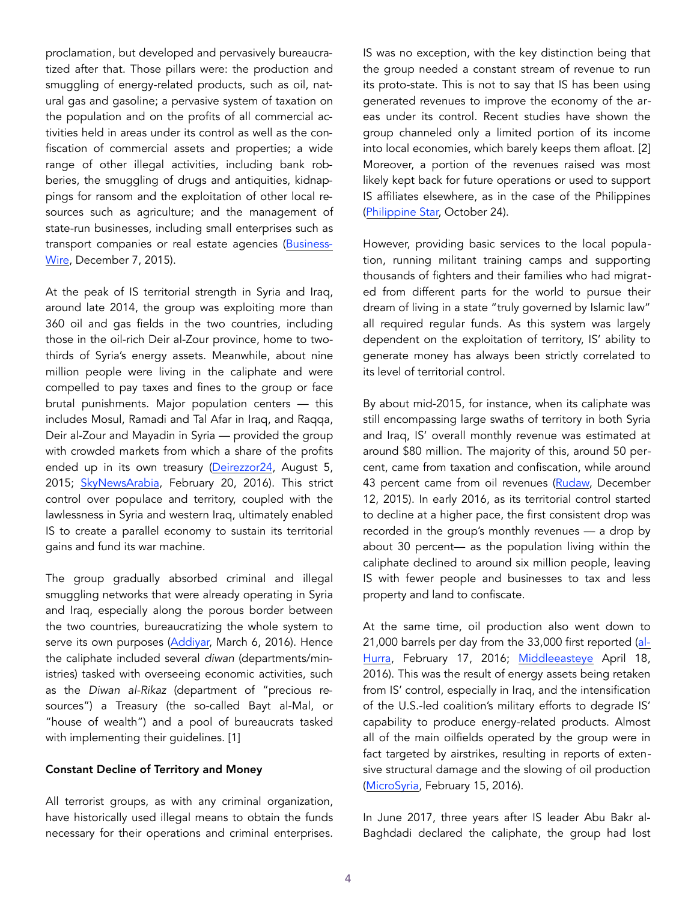proclamation, but developed and pervasively bureaucratized after that. Those pillars were: the production and smuggling of energy-related products, such as oil, natural gas and gasoline; a pervasive system of taxation on the population and on the profits of all commercial activities held in areas under its control as well as the confiscation of commercial assets and properties; a wide range of other illegal activities, including bank robberies, the smuggling of drugs and antiquities, kidnappings for ransom and the exploitation of other local resources such as agriculture; and the management of state-run businesses, including small enterprises such as transport companies or real estate agencies [\(Business](mailto:http://www.businesswire.com/news/home/20151207005555/en/Islamic-State-Monthly-Revenue-Totals-80-million)-[Wire,](mailto:http://www.businesswire.com/news/home/20151207005555/en/Islamic-State-Monthly-Revenue-Totals-80-million) December 7, 2015).

At the peak of IS territorial strength in Syria and Iraq, around late 2014, the group was exploiting more than 360 oil and gas fields in the two countries, including those in the oil-rich Deir al-Zour province, home to twothirds of Syria's energy assets. Meanwhile, about nine million people were living in the caliphate and were compelled to pay taxes and fines to the group or face brutal punishments. Major population centers — this includes Mosul, Ramadi and Tal Afar in Iraq, and Raqqa, Deir al-Zour and Mayadin in Syria — provided the group with crowded markets from which a share of the profits ended up in its own treasury [\(Deirezzor24](http://deirezzor24.net/?p=2661), August 5, 2015; [SkyNewsArabia](http://www.skynewsarabia.com/web/video/817818/%D9%88%D8%AB%D8%A7%D9%8A%D9%94%D9%82-%D8%AA%D8%B8%D9%87%D8%B1-%D8%AD%D8%AC%D9%85-%D8%A7%D9%95%D9%86%D8%AA%D8%A7%D8%AC-%D8%AF%D8%A7%D8%B9%D8%B4-%D8%A7%D9%84%D9%86%D9%81%D8%B7), February 20, 2016). This strict control over populace and territory, coupled with the lawlessness in Syria and western Iraq, ultimately enabled IS to create a parallel economy to sustain its territorial gains and fund its war machine.

The group gradually absorbed criminal and illegal smuggling networks that were already operating in Syria and Iraq, especially along the porous border between the two countries, bureaucratizing the whole system to serve its own purposes ([Addiyar,](http://www.addiyar.com/article/1137852-%D9%85%D8%B1%D9%83%D8%B2-%D8%AF%D8%B1%D8%A7%D8%B3%D8%A7%D8%AA-%D8%B3%D9%88%D8%B1%D9%8A-%D9%8A%D8%AD%D8%AF%D8%AF-15-%D9%85%D8%B5%D8%AF%D8%B1%D8%A7-%D9%84%D8%AA%D9%85%D9%88%D9%8A%D9%84-%D8%AF%D8%A7%D9%8A%D9%84-%D8%AF%D8) March 6, 2016). Hence the caliphate included several *diwan* (departments/ministries) tasked with overseeing economic activities, such as the *Diwan al-Rikaz* (department of "precious resources") a Treasury (the so-called Bayt al-Mal, or "house of wealth") and a pool of bureaucrats tasked with implementing their guidelines. [1]

#### Constant Decline of Territory and Money

All terrorist groups, as with any criminal organization, have historically used illegal means to obtain the funds necessary for their operations and criminal enterprises. IS was no exception, with the key distinction being that the group needed a constant stream of revenue to run its proto-state. This is not to say that IS has been using generated revenues to improve the economy of the areas under its control. Recent studies have shown the group channeled only a limited portion of its income into local economies, which barely keeps them afloat. [2] Moreover, a portion of the revenues raised was most likely kept back for future operations or used to support IS affiliates elsewhere, as in the case of the Philippines ([Philippine Star,](http://www.philstar.com/headlines/2017/10/24/1752096/ano-isis-sent-least-1.5-million-fund-marawi-siege) October 24).

However, providing basic services to the local population, running militant training camps and supporting thousands of fighters and their families who had migrated from different parts for the world to pursue their dream of living in a state "truly governed by Islamic law" all required regular funds. As this system was largely dependent on the exploitation of territory, IS' ability to generate money has always been strictly correlated to its level of territorial control.

By about mid-2015, for instance, when its caliphate was still encompassing large swaths of territory in both Syria and Iraq, IS' overall monthly revenue was estimated at around \$80 million. The majority of this, around 50 percent, came from taxation and confiscation, while around 43 percent came from oil revenues ([Rudaw,](http://www.rudaw.net/english/middleeast/071220151) December 12, 2015). In early 2016, as its territorial control started to decline at a higher pace, the first consistent drop was recorded in the group's monthly revenues — a drop by about 30 percent— as the population living within the caliphate declined to around six million people, leaving IS with fewer people and businesses to tax and less property and land to confiscate.

At the same time, oil production also went down to 21,000 barrels per day from the 33,000 first reported ([al-](http://www.alhurra.com/content/isis-struggling-budget-cuts/295430.html)[Hurra,](http://www.alhurra.com/content/isis-struggling-budget-cuts/295430.html) February 17, 2016; [Middleeasteye](https://www.middleeasteye.net/fr/news/islamic-states-income-dropped-30-amid-loss-territory-report-says-21441456) April 18, 2016). This was the result of energy assets being retaken from IS' control, especially in Iraq, and the intensification of the U.S.-led coalition's military efforts to degrade IS' capability to produce energy-related products. Almost all of the main oilfields operated by the group were in fact targeted by airstrikes, resulting in reports of extensive structural damage and the slowing of oil production ([MicroSyria](http://microsyria.com/2016/02/15/%D8%B7%D9%8A%D8%B1%D8%A7%D9%86-%D8%A7%D9%84%D8%AA%D8%AD%D8%A7%D9%84%D9%81-%D9%8A%D8%B3%D8%AA%D9%87%D8%AF%D9%81-%D8%AD%D9%82%D9%84-%D8%A7%D9%84%D9%88%D8%B1%D8%AF-%D8%A7%D9%84%D9%86%D9%81%D8%B7%D9%8A/), February 15, 2016).

In June 2017, three years after IS leader Abu Bakr al-Baghdadi declared the caliphate, the group had lost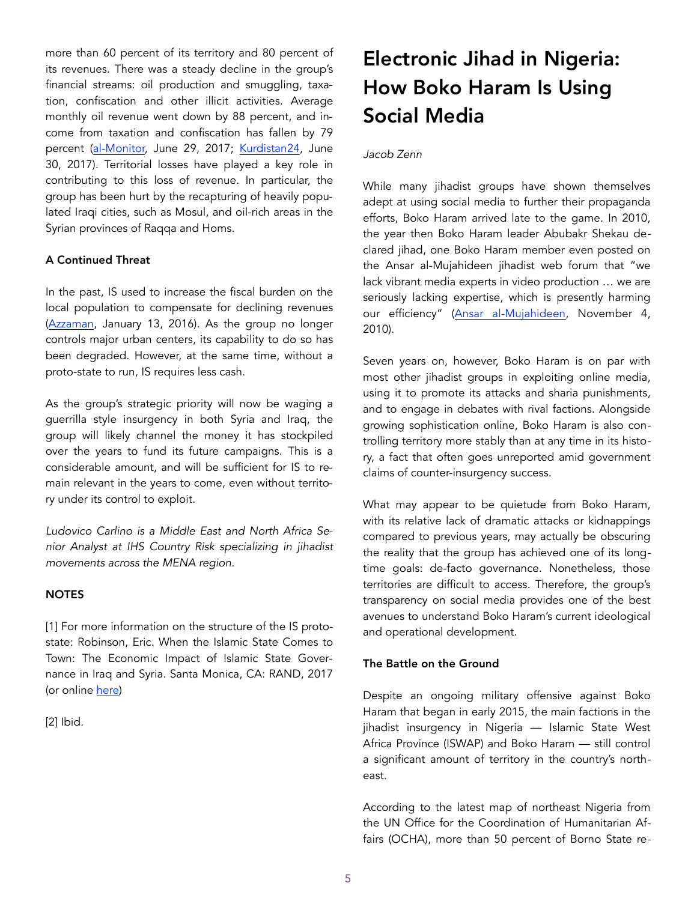more than 60 percent of its territory and 80 percent of its revenues. There was a steady decline in the group's financial streams: oil production and smuggling, taxation, confiscation and other illicit activities. Average monthly oil revenue went down by 88 percent, and income from taxation and confiscation has fallen by 79 percent ([al-Monitor,](https://www.al-monitor.com/pulse/afp/2017/06/syria-conflict-iraq-is.html) June 29, 2017; [Kurdistan24](http://www.kurdistan24.net/en/news/8437f3d9-7396-4039-8a57-99816bbf4e3f), June 30, 2017). Territorial losses have played a key role in contributing to this loss of revenue. In particular, the group has been hurt by the recapturing of heavily populated Iraqi cities, such as Mosul, and oil-rich areas in the Syrian provinces of Raqqa and Homs.

## A Continued Threat

In the past, IS used to increase the fiscal burden on the local population to compensate for declining revenues ([Azzaman](https://www.azzaman.com/?p=142026), January 13, 2016). As the group no longer controls major urban centers, its capability to do so has been degraded. However, at the same time, without a proto-state to run, IS requires less cash.

As the group's strategic priority will now be waging a guerrilla style insurgency in both Syria and Iraq, the group will likely channel the money it has stockpiled over the years to fund its future campaigns. This is a considerable amount, and will be sufficient for IS to remain relevant in the years to come, even without territory under its control to exploit.

*Ludovico Carlino is a Middle East and North Africa Senior Analyst at IHS Country Risk specializing in jihadist movements across the MENA region.* 

## **NOTES**

[1] For more information on the structure of the IS protostate: Robinson, Eric. When the Islamic State Comes to Town: The Economic Impact of Islamic State Governance in Iraq and Syria. Santa Monica, CA: RAND, 2017 (or online [here\)](mailto:https://www.rand.org/nsrd/projects/when-isil-comes-to-town.html)

[2] Ibid.

## Electronic Jihad in Nigeria: How Boko Haram Is Using Social Media

## *Jacob Zenn*

While many jihadist groups have shown themselves adept at using social media to further their propaganda efforts, Boko Haram arrived late to the game. In 2010, the year then Boko Haram leader Abubakr Shekau declared jihad, one Boko Haram member even posted on the Ansar al-Mujahideen jihadist web forum that "we lack vibrant media experts in video production … we are seriously lacking expertise, which is presently harming our efficiency" ([Ansar al-Mujahideen](http://news.siteintelgroup.com/blog/index.php/about-us/21-jihad/1145-boko-haram-representative-solicits-guidance-and-assistance-on-jihadist-forums), November 4, 2010).

Seven years on, however, Boko Haram is on par with most other jihadist groups in exploiting online media, using it to promote its attacks and sharia punishments, and to engage in debates with rival factions. Alongside growing sophistication online, Boko Haram is also controlling territory more stably than at any time in its history, a fact that often goes unreported amid government claims of counter-insurgency success.

What may appear to be quietude from Boko Haram, with its relative lack of dramatic attacks or kidnappings compared to previous years, may actually be obscuring the reality that the group has achieved one of its longtime goals: de-facto governance. Nonetheless, those territories are difficult to access. Therefore, the group's transparency on social media provides one of the best avenues to understand Boko Haram's current ideological and operational development.

## The Battle on the Ground

Despite an ongoing military offensive against Boko Haram that began in early 2015, the main factions in the jihadist insurgency in Nigeria — Islamic State West Africa Province (ISWAP) and Boko Haram — still control a significant amount of territory in the country's northeast.

According to the latest map of northeast Nigeria from the UN Office for the Coordination of Humanitarian Affairs (OCHA), more than 50 percent of Borno State re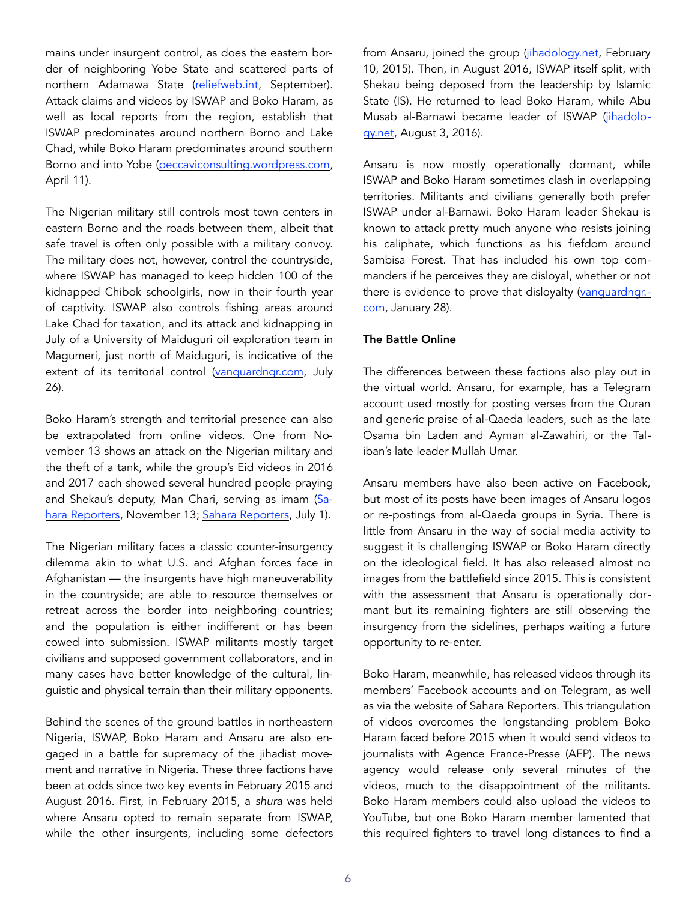mains under insurgent control, as does the eastern border of neighboring Yobe State and scattered parts of northern Adamawa State ([reliefweb.int,](https://reliefweb.int/sites/reliefweb.int/files/resources/20102017_ocha_nga_ne_sitrep_no_sept_2017.pdf) September). Attack claims and videos by ISWAP and Boko Haram, as well as local reports from the region, establish that ISWAP predominates around northern Borno and Lake Chad, while Boko Haram predominates around southern Borno and into Yobe ([peccaviconsulting.wordpress.com,](https://peccaviconsulting.wordpress.com/2017/04/11/boko-harams-rainy-season-operations-2017-shaping-operations-in-the-vicinity-of-lake-chad/) April 11).

The Nigerian military still controls most town centers in eastern Borno and the roads between them, albeit that safe travel is often only possible with a military convoy. The military does not, however, control the countryside, where ISWAP has managed to keep hidden 100 of the kidnapped Chibok schoolgirls, now in their fourth year of captivity. ISWAP also controls fishing areas around Lake Chad for taxation, and its attack and kidnapping in July of a University of Maiduguri oil exploration team in Magumeri, just north of Maiduguri, is indicative of the extent of its territorial control ([vanguardngr.com,](https://www.vanguardngr.com/2017/07/kidnap-oil-exploration-workers-shows-boko-haram-serious-cash-squeeze/) July 26).

Boko Haram's strength and territorial presence can also be extrapolated from online videos. One from November 13 shows an attack on the Nigerian military and the theft of a tank, while the group's Eid videos in 2016 and 2017 each showed several hundred people praying and Shekau's deputy, Man Chari, serving as imam ([Sa](https://www.youtube.com/watch?v=3RVTe8kTVtY)[hara Reporters](https://www.youtube.com/watch?v=3RVTe8kTVtY), November 13; [Sahara Reporters](https://www.youtube.com/watch?v=53nTzMRtrt8), July 1).

The Nigerian military faces a classic counter-insurgency dilemma akin to what U.S. and Afghan forces face in Afghanistan — the insurgents have high maneuverability in the countryside; are able to resource themselves or retreat across the border into neighboring countries; and the population is either indifferent or has been cowed into submission. ISWAP militants mostly target civilians and supposed government collaborators, and in many cases have better knowledge of the cultural, linguistic and physical terrain than their military opponents.

Behind the scenes of the ground battles in northeastern Nigeria, ISWAP, Boko Haram and Ansaru are also engaged in a battle for supremacy of the jihadist movement and narrative in Nigeria. These three factions have been at odds since two key events in February 2015 and August 2016. First, in February 2015, a *shura* was held where Ansaru opted to remain separate from ISWAP, while the other insurgents, including some defectors from Ansaru, joined the group ([jihadology.net,](http://jihadology.net/2015/02/10/al-hidayyah-foundation-presentsa-%20new-video-message-from-jamaat-an%e1%b9%a3ar-al-muslimin-fi-bilad-alsudan-%20investigation-of-the-nigerian-army/) February 10, 2015). Then, in August 2016, ISWAP itself split, with Shekau being deposed from the leadership by Islamic State (IS). He returned to lead Boko Haram, while Abu Musab al-Barnawi became leader of ISWAP ([jihadolo](http://jihadology.net/2016/08/03/new-audio-message-from-abubakr-%20al-shekau-message-to-the-world/)[gy.net,](http://jihadology.net/2016/08/03/new-audio-message-from-abubakr-%20al-shekau-message-to-the-world/) August 3, 2016).

Ansaru is now mostly operationally dormant, while ISWAP and Boko Haram sometimes clash in overlapping territories. Militants and civilians generally both prefer ISWAP under al-Barnawi. Boko Haram leader Shekau is known to attack pretty much anyone who resists joining his caliphate, which functions as his fiefdom around Sambisa Forest. That has included his own top commanders if he perceives they are disloyal, whether or not there is evidence to prove that disloyalty ([vanguardngr.](https://www.vanguardngr.com/2017/01/al-barnawi-boko-haram-faction-responsible-recent-attack/) [com,](https://www.vanguardngr.com/2017/01/al-barnawi-boko-haram-faction-responsible-recent-attack/) January 28).

## The Battle Online

The differences between these factions also play out in the virtual world. Ansaru, for example, has a Telegram account used mostly for posting verses from the Quran and generic praise of al-Qaeda leaders, such as the late Osama bin Laden and Ayman al-Zawahiri, or the Taliban's late leader Mullah Umar.

Ansaru members have also been active on Facebook, but most of its posts have been images of Ansaru logos or re-postings from al-Qaeda groups in Syria. There is little from Ansaru in the way of social media activity to suggest it is challenging ISWAP or Boko Haram directly on the ideological field. It has also released almost no images from the battlefield since 2015. This is consistent with the assessment that Ansaru is operationally dormant but its remaining fighters are still observing the insurgency from the sidelines, perhaps waiting a future opportunity to re-enter.

Boko Haram, meanwhile, has released videos through its members' Facebook accounts and on Telegram, as well as via the website of Sahara Reporters. This triangulation of videos overcomes the longstanding problem Boko Haram faced before 2015 when it would send videos to journalists with Agence France-Presse (AFP). The news agency would release only several minutes of the videos, much to the disappointment of the militants. Boko Haram members could also upload the videos to YouTube, but one Boko Haram member lamented that this required fighters to travel long distances to find a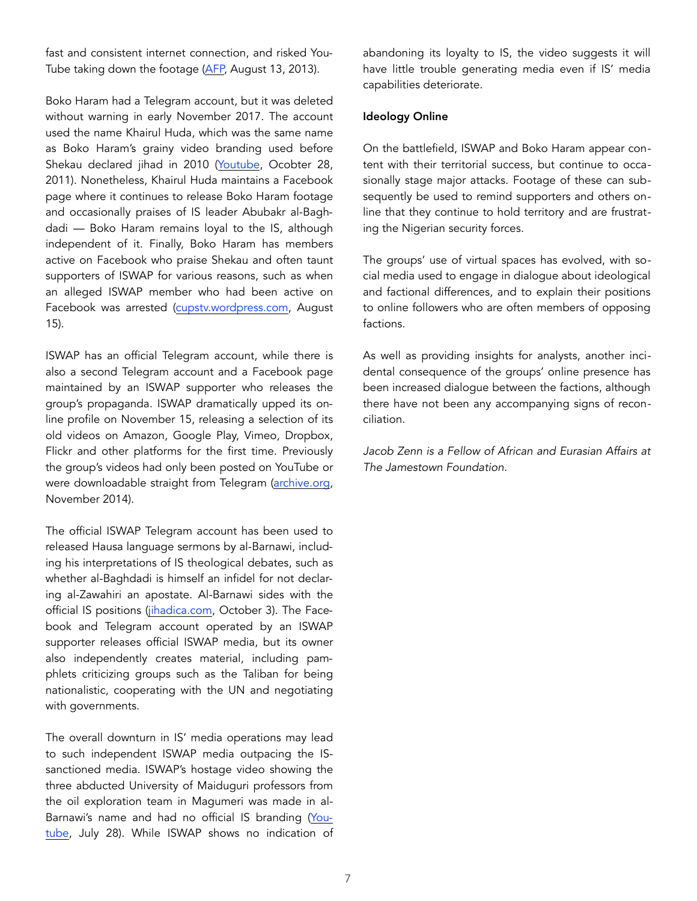fast and consistent internet connection, and risked You-Tube taking down the footage [\(AFP,](https://www.youtube.com/watch?v=vfJXOyORHNA) August 13, 2013).

Boko Haram had a Telegram account, but it was deleted without warning in early November 2017. The account used the name Khairul Huda, which was the same name as Boko Haram's grainy video branding used before Shekau declared jihad in 2010 [\(Youtube](https://www.youtube.com/watch?v=eUQYNucjqUE), Ocobter 28, 2011). Nonetheless, Khairul Huda maintains a Facebook page where it continues to release Boko Haram footage and occasionally praises of IS leader Abubakr al-Baghdadi — Boko Haram remains loyal to the IS, although independent of it. Finally, Boko Haram has members active on Facebook who praise Shekau and often taunt supporters of ISWAP for various reasons, such as when an alleged ISWAP member who had been active on Facebook was arrested ([cupstv.wordpress.com](https://cupstv.wordpress.com/2017/08/15/my-thoughts-on-the-unlawful-arrest-of-police-officer-datti-assalafiy/), August 15).

ISWAP has an official Telegram account, while there is also a second Telegram account and a Facebook page maintained by an ISWAP supporter who releases the group's propaganda. ISWAP dramatically upped its online profile on November 15, releasing a selection of its old videos on Amazon, Google Play, Vimeo, Dropbox, Flickr and other platforms for the first time. Previously the group's videos had only been posted on YouTube or were downloadable straight from Telegram [\(archive.org,](https://archive.org/details/bvghr_144) November 2014).

The official ISWAP Telegram account has been used to released Hausa language sermons by al-Barnawi, including his interpretations of IS theological debates, such as whether al-Baghdadi is himself an infidel for not declaring al-Zawahiri an apostate. Al-Barnawi sides with the official IS positions [\(jihadica.com](http://www.jihadica.com/caliphate-in-disarray/), October 3). The Facebook and Telegram account operated by an ISWAP supporter releases official ISWAP media, but its owner also independently creates material, including pamphlets criticizing groups such as the Taliban for being nationalistic, cooperating with the UN and negotiating with governments.

The overall downturn in IS' media operations may lead to such independent ISWAP media outpacing the ISsanctioned media. ISWAP's hostage video showing the three abducted University of Maiduguri professors from the oil exploration team in Magumeri was made in al-Barnawi's name and had no official IS branding [\(You](https://www.youtube.com/watch?v=0zFlTIjl5iQ)[tube,](https://www.youtube.com/watch?v=0zFlTIjl5iQ) July 28). While ISWAP shows no indication of abandoning its loyalty to IS, the video suggests it will have little trouble generating media even if IS' media capabilities deteriorate.

#### Ideology Online

On the battlefield, ISWAP and Boko Haram appear content with their territorial success, but continue to occasionally stage major attacks. Footage of these can subsequently be used to remind supporters and others online that they continue to hold territory and are frustrating the Nigerian security forces.

The groups' use of virtual spaces has evolved, with social media used to engage in dialogue about ideological and factional differences, and to explain their positions to online followers who are often members of opposing factions.

As well as providing insights for analysts, another incidental consequence of the groups' online presence has been increased dialogue between the factions, although there have not been any accompanying signs of reconciliation.

*Jacob Zenn is a Fellow of African and Eurasian Affairs at The Jamestown Foundation.*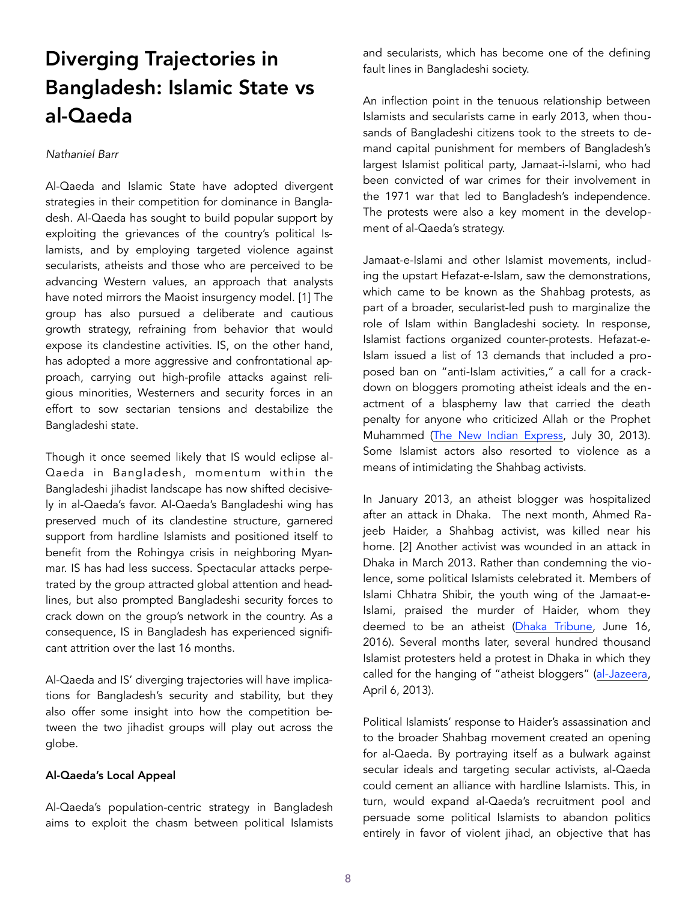## Diverging Trajectories in Bangladesh: Islamic State vs al-Qaeda

#### *Nathaniel Barr*

Al-Qaeda and Islamic State have adopted divergent strategies in their competition for dominance in Bangladesh. Al-Qaeda has sought to build popular support by exploiting the grievances of the country's political Islamists, and by employing targeted violence against secularists, atheists and those who are perceived to be advancing Western values, an approach that analysts have noted mirrors the Maoist insurgency model. [1] The group has also pursued a deliberate and cautious growth strategy, refraining from behavior that would expose its clandestine activities. IS, on the other hand, has adopted a more aggressive and confrontational approach, carrying out high-profile attacks against religious minorities, Westerners and security forces in an effort to sow sectarian tensions and destabilize the Bangladeshi state.

Though it once seemed likely that IS would eclipse al-Qaeda in Bangladesh, momentum within the Bangladeshi jihadist landscape has now shifted decisively in al-Qaeda's favor. Al-Qaeda's Bangladeshi wing has preserved much of its clandestine structure, garnered support from hardline Islamists and positioned itself to benefit from the Rohingya crisis in neighboring Myanmar. IS has had less success. Spectacular attacks perpetrated by the group attracted global attention and headlines, but also prompted Bangladeshi security forces to crack down on the group's network in the country. As a consequence, IS in Bangladesh has experienced significant attrition over the last 16 months.

Al-Qaeda and IS' diverging trajectories will have implications for Bangladesh's security and stability, but they also offer some insight into how the competition between the two jihadist groups will play out across the globe.

#### Al-Qaeda's Local Appeal

Al-Qaeda's population-centric strategy in Bangladesh aims to exploit the chasm between political Islamists and secularists, which has become one of the defining fault lines in Bangladeshi society.

An inflection point in the tenuous relationship between Islamists and secularists came in early 2013, when thousands of Bangladeshi citizens took to the streets to demand capital punishment for members of Bangladesh's largest Islamist political party, Jamaat-i-Islami, who had been convicted of war crimes for their involvement in the 1971 war that led to Bangladesh's independence. The protests were also a key moment in the development of al-Qaeda's strategy.

Jamaat-e-Islami and other Islamist movements, including the upstart Hefazat-e-Islam, saw the demonstrations, which came to be known as the Shahbag protests, as part of a broader, secularist-led push to marginalize the role of Islam within Bangladeshi society. In response, Islamist factions organized counter-protests. Hefazat-e-Islam issued a list of 13 demands that included a proposed ban on "anti-Islam activities," a call for a crackdown on bloggers promoting atheist ideals and the enactment of a blasphemy law that carried the death penalty for anyone who criticized Allah or the Prophet Muhammed ([The New Indian Express,](http://www.newindianexpreshttp//www.newindianexpress.com/opinions/2013/jul/30/Liberty-in-Peril-in-Bangladesh-501705.htmls.com/opinions/2013/jul/30/Liberty-in-Peril-in-Bangladesh-501705.html) July 30, 2013). Some Islamist actors also resorted to violence as a means of intimidating the Shahbag activists.

In January 2013, an atheist blogger was hospitalized after an attack in Dhaka. The next month, Ahmed Rajeeb Haider, a Shahbag activist, was killed near his home. [2] Another activist was wounded in an attack in Dhaka in March 2013. Rather than condemning the violence, some political Islamists celebrated it. Members of Islami Chhatra Shibir, the youth wing of the Jamaat-e-Islami, praised the murder of Haider, whom they deemed to be an atheist ([Dhaka Tribune,](http://www.dhakatribune.com/bangladesh/2016/06/16/danger-anonymous-terror/) June 16, 2016). Several months later, several hundred thousand Islamist protesters held a protest in Dhaka in which they called for the hanging of "atheist bloggers" [\(al-Jazeera,](http://www.aljazeera.com/news/asia/2013/04/20134661058364976.html) April 6, 2013).

Political Islamists' response to Haider's assassination and to the broader Shahbag movement created an opening for al-Qaeda. By portraying itself as a bulwark against secular ideals and targeting secular activists, al-Qaeda could cement an alliance with hardline Islamists. This, in turn, would expand al-Qaeda's recruitment pool and persuade some political Islamists to abandon politics entirely in favor of violent jihad, an objective that has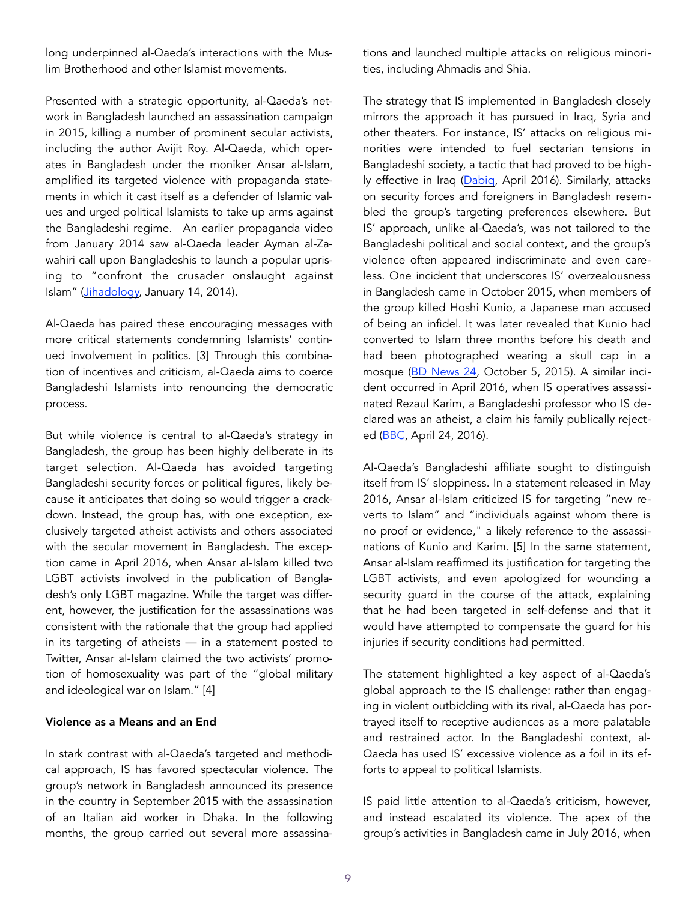long underpinned al-Qaeda's interactions with the Muslim Brotherhood and other Islamist movements.

Presented with a strategic opportunity, al-Qaeda's network in Bangladesh launched an assassination campaign in 2015, killing a number of prominent secular activists, including the author Avijit Roy. Al-Qaeda, which operates in Bangladesh under the moniker Ansar al-Islam, amplified its targeted violence with propaganda statements in which it cast itself as a defender of Islamic values and urged political Islamists to take up arms against the Bangladeshi regime. An earlier propaganda video from January 2014 saw al-Qaeda leader Ayman al-Zawahiri call upon Bangladeshis to launch a popular uprising to "confront the crusader onslaught against Islam" ([Jihadology,](http://jihadology.net/2014/01/14/as-sa) January 14, 2014).

Al-Qaeda has paired these encouraging messages with more critical statements condemning Islamists' continued involvement in politics. [3] Through this combination of incentives and criticism, al-Qaeda aims to coerce Bangladeshi Islamists into renouncing the democratic process.

But while violence is central to al-Qaeda's strategy in Bangladesh, the group has been highly deliberate in its target selection. Al-Qaeda has avoided targeting Bangladeshi security forces or political figures, likely because it anticipates that doing so would trigger a crackdown. Instead, the group has, with one exception, exclusively targeted atheist activists and others associated with the secular movement in Bangladesh. The exception came in April 2016, when Ansar al-Islam killed two LGBT activists involved in the publication of Bangladesh's only LGBT magazine. While the target was different, however, the justification for the assassinations was consistent with the rationale that the group had applied in its targeting of atheists — in a statement posted to Twitter, Ansar al-Islam claimed the two activists' promotion of homosexuality was part of the "global military and ideological war on Islam." [4]

#### Violence as a Means and an End

In stark contrast with al-Qaeda's targeted and methodical approach, IS has favored spectacular violence. The group's network in Bangladesh announced its presence in the country in September 2015 with the assassination of an Italian aid worker in Dhaka. In the following months, the group carried out several more assassinations and launched multiple attacks on religious minorities, including Ahmadis and Shia.

The strategy that IS implemented in Bangladesh closely mirrors the approach it has pursued in Iraq, Syria and other theaters. For instance, IS' attacks on religious minorities were intended to fuel sectarian tensions in Bangladeshi society, a tactic that had proved to be high-ly effective in Iraq ([Dabiq,](https://azelin.files.wordpress.com/2016/04/the-islamic-state-22dacc84biq-magazine-1422.pdf) April 2016). Similarly, attacks on security forces and foreigners in Bangladesh resembled the group's targeting preferences elsewhere. But IS' approach, unlike al-Qaeda's, was not tailored to the Bangladeshi political and social context, and the group's violence often appeared indiscriminate and even careless. One incident that underscores IS' overzealousness in Bangladesh came in October 2015, when members of the group killed Hoshi Kunio, a Japanese man accused of being an infidel. It was later revealed that Kunio had converted to Islam three months before his death and had been photographed wearing a skull cap in a mosque ([BD News 24,](https://bdnews24.com/bangladesh/2015/10/05/japanese-kunio-hoshi-converted-to-islam-three-months-before-murder-locals-claim) October 5, 2015). A similar incident occurred in April 2016, when IS operatives assassinated Rezaul Karim, a Bangladeshi professor who IS declared was an atheist, a claim his family publically reject-ed [\(BBC,](http://www.bbc.com/news/world-asia-36125115) April 24, 2016).

Al-Qaeda's Bangladeshi affiliate sought to distinguish itself from IS' sloppiness. In a statement released in May 2016, Ansar al-Islam criticized IS for targeting "new reverts to Islam" and "individuals against whom there is no proof or evidence," a likely reference to the assassinations of Kunio and Karim. [5] In the same statement, Ansar al-Islam reaffirmed its justification for targeting the LGBT activists, and even apologized for wounding a security guard in the course of the attack, explaining that he had been targeted in self-defense and that it would have attempted to compensate the guard for his injuries if security conditions had permitted.

The statement highlighted a key aspect of al-Qaeda's global approach to the IS challenge: rather than engaging in violent outbidding with its rival, al-Qaeda has portrayed itself to receptive audiences as a more palatable and restrained actor. In the Bangladeshi context, al-Qaeda has used IS' excessive violence as a foil in its efforts to appeal to political Islamists.

IS paid little attention to al-Qaeda's criticism, however, and instead escalated its violence. The apex of the group's activities in Bangladesh came in July 2016, when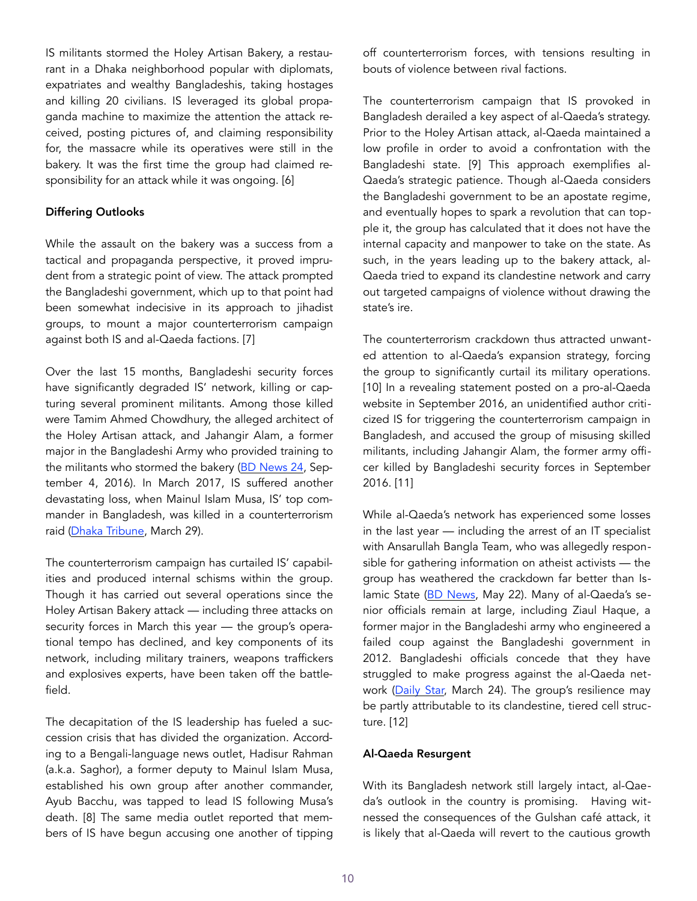IS militants stormed the Holey Artisan Bakery, a restaurant in a Dhaka neighborhood popular with diplomats, expatriates and wealthy Bangladeshis, taking hostages and killing 20 civilians. IS leveraged its global propaganda machine to maximize the attention the attack received, posting pictures of, and claiming responsibility for, the massacre while its operatives were still in the bakery. It was the first time the group had claimed responsibility for an attack while it was ongoing. [6]

#### Differing Outlooks

While the assault on the bakery was a success from a tactical and propaganda perspective, it proved imprudent from a strategic point of view. The attack prompted the Bangladeshi government, which up to that point had been somewhat indecisive in its approach to jihadist groups, to mount a major counterterrorism campaign against both IS and al-Qaeda factions. [7]

Over the last 15 months, Bangladeshi security forces have significantly degraded IS' network, killing or capturing several prominent militants. Among those killed were Tamim Ahmed Chowdhury, the alleged architect of the Holey Artisan attack, and Jahangir Alam, a former major in the Bangladeshi Army who provided training to the militants who stormed the bakery [\(BD News 24,](http://businessnews24bd.com/killed-militant-jahid-left-bangladesh-army-on-return-from-canada/) September 4, 2016). In March 2017, IS suffered another devastating loss, when Mainul Islam Musa, IS' top commander in Bangladesh, was killed in a counterterrorism raid [\(Dhaka Tribune,](http://www.dhakatribune.com/bangladesh/2017/03/28/cttc-suspect-killed-musa/) March 29).

The counterterrorism campaign has curtailed IS' capabilities and produced internal schisms within the group. Though it has carried out several operations since the Holey Artisan Bakery attack — including three attacks on security forces in March this year — the group's operational tempo has declined, and key components of its network, including military trainers, weapons traffickers and explosives experts, have been taken off the battlefield.

The decapitation of the IS leadership has fueled a succession crisis that has divided the organization. According to a Bengali-language news outlet, Hadisur Rahman (a.k.a. Saghor), a former deputy to Mainul Islam Musa, established his own group after another commander, Ayub Bacchu, was tapped to lead IS following Musa's death. [8] The same media outlet reported that members of IS have begun accusing one another of tipping off counterterrorism forces, with tensions resulting in bouts of violence between rival factions.

The counterterrorism campaign that IS provoked in Bangladesh derailed a key aspect of al-Qaeda's strategy. Prior to the Holey Artisan attack, al-Qaeda maintained a low profile in order to avoid a confrontation with the Bangladeshi state. [9] This approach exemplifies al-Qaeda's strategic patience. Though al-Qaeda considers the Bangladeshi government to be an apostate regime, and eventually hopes to spark a revolution that can topple it, the group has calculated that it does not have the internal capacity and manpower to take on the state. As such, in the years leading up to the bakery attack, al-Qaeda tried to expand its clandestine network and carry out targeted campaigns of violence without drawing the state's ire.

The counterterrorism crackdown thus attracted unwanted attention to al-Qaeda's expansion strategy, forcing the group to significantly curtail its military operations. [10] In a revealing statement posted on a pro-al-Qaeda website in September 2016, an unidentified author criticized IS for triggering the counterterrorism campaign in Bangladesh, and accused the group of misusing skilled militants, including Jahangir Alam, the former army officer killed by Bangladeshi security forces in September 2016. [11]

While al-Qaeda's network has experienced some losses in the last year — including the arrest of an IT specialist with Ansarullah Bangla Team, who was allegedly responsible for gathering information on atheist activists — the group has weathered the crackdown far better than Is-lamic State ([BD News,](https://bdnews24.com/bangladesh/2017/05/02/ansarullah-bangla-teams-it-chief-ashfaqur-hacked-profiles-to-get-info-on-bloggers-police) May 22). Many of al-Qaeda's senior officials remain at large, including Ziaul Haque, a former major in the Bangladeshi army who engineered a failed coup against the Bangladeshi government in 2012. Bangladeshi officials concede that they have struggled to make progress against the al-Qaeda network [\(Daily Star,](http://www.thedailystar.net/frontpage/militant-outfit-ansar-al-islam-change-tactics-recruitment-1380586) March 24). The group's resilience may be partly attributable to its clandestine, tiered cell structure. [12]

## Al-Qaeda Resurgent

With its Bangladesh network still largely intact, al-Qaeda's outlook in the country is promising. Having witnessed the consequences of the Gulshan café attack, it is likely that al-Qaeda will revert to the cautious growth